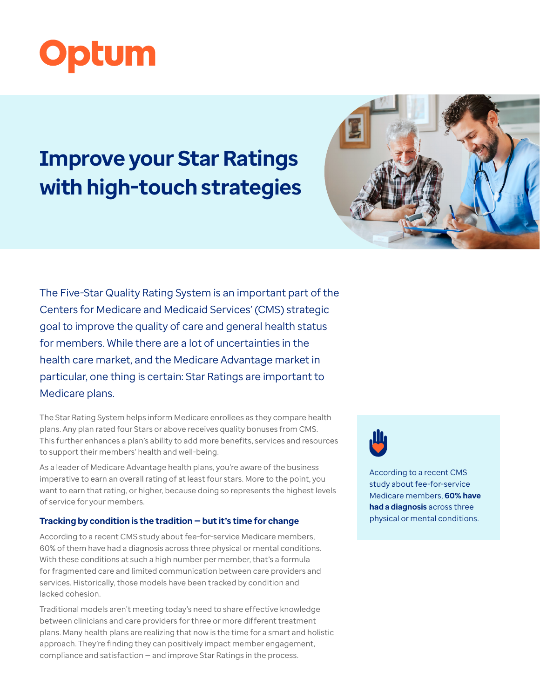

# **Improve your Star Ratings with high-touch strategies**



The Five-Star Quality Rating System is an important part of the Centers for Medicare and Medicaid Services' (CMS) strategic goal to improve the quality of care and general health status for members. While there are a lot of uncertainties in the health care market, and the Medicare Advantage market in particular, one thing is certain: Star Ratings are important to Medicare plans.

The Star Rating System helps inform Medicare enrollees as they compare health plans. Any plan rated four Stars or above receives quality bonuses from CMS. This further enhances a plan's ability to add more benefits, services and resources to support their members' health and well-being.

As a leader of Medicare Advantage health plans, you're aware of the business imperative to earn an overall rating of at least four stars. More to the point, you want to earn that rating, or higher, because doing so represents the highest levels of service for your members.

# **Tracking by condition is the tradition — but it's time for change**

According to a recent CMS study about fee-for-service Medicare members, 60% of them have had a diagnosis across three physical or mental conditions. With these conditions at such a high number per member, that's a formula for fragmented care and limited communication between care providers and services. Historically, those models have been tracked by condition and lacked cohesion.

Traditional models aren't meeting today's need to share effective knowledge between clinicians and care providers for three or more different treatment plans. Many health plans are realizing that now is the time for a smart and holistic approach. They're finding they can positively impact member engagement, compliance and satisfaction — and improve Star Ratings in the process.



According to a recent CMS study about fee-for-service Medicare members, **60% have had a diagnosis** across three physical or mental conditions.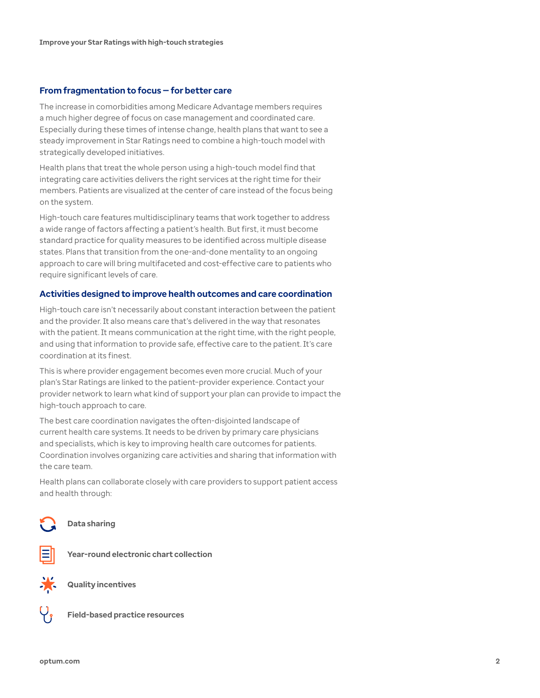## **From fragmentation to focus — for better care**

The increase in comorbidities among Medicare Advantage members requires a much higher degree of focus on case management and coordinated care. Especially during these times of intense change, health plans that want to see a steady improvement in Star Ratings need to combine a high-touch model with strategically developed initiatives.

Health plans that treat the whole person using a high-touch model find that integrating care activities delivers the right services at the right time for their members. Patients are visualized at the center of care instead of the focus being on the system.

High-touch care features multidisciplinary teams that work together to address a wide range of factors affecting a patient's health. But first, it must become standard practice for quality measures to be identified across multiple disease states. Plans that transition from the one-and-done mentality to an ongoing approach to care will bring multifaceted and cost-effective care to patients who require significant levels of care.

# **Activities designed to improve health outcomes and care coordination**

High-touch care isn't necessarily about constant interaction between the patient and the provider. It also means care that's delivered in the way that resonates with the patient. It means communication at the right time, with the right people, and using that information to provide safe, effective care to the patient. It's care coordination at its finest.

This is where provider engagement becomes even more crucial. Much of your plan's Star Ratings are linked to the patient–provider experience. Contact your provider network to learn what kind of support your plan can provide to impact the high-touch approach to care.

The best care coordination navigates the often-disjointed landscape of current health care systems. It needs to be driven by primary care physicians and specialists, which is key to improving health care outcomes for patients. Coordination involves organizing care activities and sharing that information with the care team.

Health plans can collaborate closely with care providers to support patient access and health through:

**Data sharing**



**Year-round electronic chart collection**



**Quality incentives** 



**Field-based practice resources**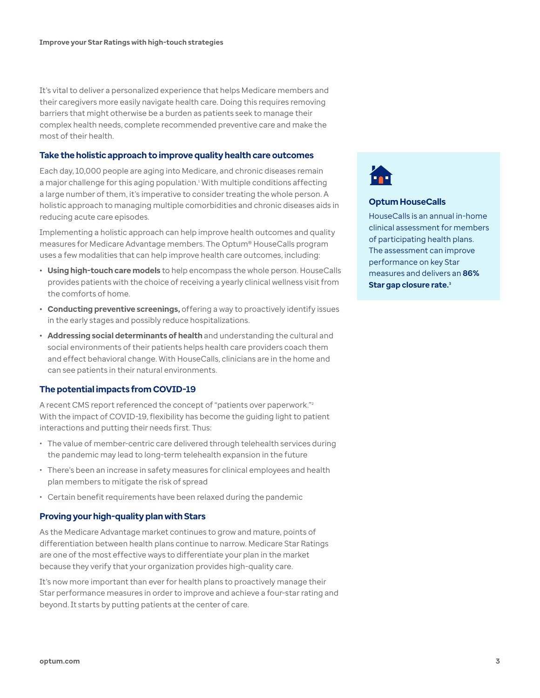It's vital to deliver a personalized experience that helps Medicare members and their caregivers more easily navigate health care. Doing this requires removing barriers that might otherwise be a burden as patients seek to manage their complex health needs, complete recommended preventive care and make the most of their health.

# **Take the holistic approach to improve quality health care outcomes**

Each day, 10,000 people are aging into Medicare, and chronic diseases remain a major challenge for this aging population.<sup>1</sup> With multiple conditions affecting a large number of them, it's imperative to consider treating the whole person. A holistic approach to managing multiple comorbidities and chronic diseases aids in reducing acute care episodes.

Implementing a holistic approach can help improve health outcomes and quality measures for Medicare Advantage members. The Optum® HouseCalls program uses a few modalities that can help improve health care outcomes, including:

- **• Using high-touch care models** to help encompass the whole person. HouseCalls provides patients with the choice of receiving a yearly clinical wellness visit from the comforts of home.
- **• Conducting preventive screenings,** offering a way to proactively identify issues in the early stages and possibly reduce hospitalizations.
- **• Addressing social determinants of health** and understanding the cultural and social environments of their patients helps health care providers coach them and effect behavioral change. With HouseCalls, clinicians are in the home and can see patients in their natural environments.

# **The potential impacts from COVID-19**

A recent CMS report referenced the concept of "patients over paperwork."<sup>2</sup> With the impact of COVID-19, flexibility has become the guiding light to patient interactions and putting their needs first. Thus:

- The value of member-centric care delivered through telehealth services during the pandemic may lead to long-term telehealth expansion in the future
- There's been an increase in safety measures for clinical employees and health plan members to mitigate the risk of spread
- Certain benefit requirements have been relaxed during the pandemic

## **Proving your high-quality plan with Stars**

As the Medicare Advantage market continues to grow and mature, points of differentiation between health plans continue to narrow. Medicare Star Ratings are one of the most effective ways to differentiate your plan in the market because they verify that your organization provides high-quality care.

It's now more important than ever for health plans to proactively manage their Star performance measures in order to improve and achieve a four-star rating and beyond. It starts by putting patients at the center of care.



## **Optum HouseCalls**

HouseCalls is an annual in-home clinical assessment for members of participating health plans. The assessment can improve performance on key Star measures and delivers an **86% Star gap closure rate.3**